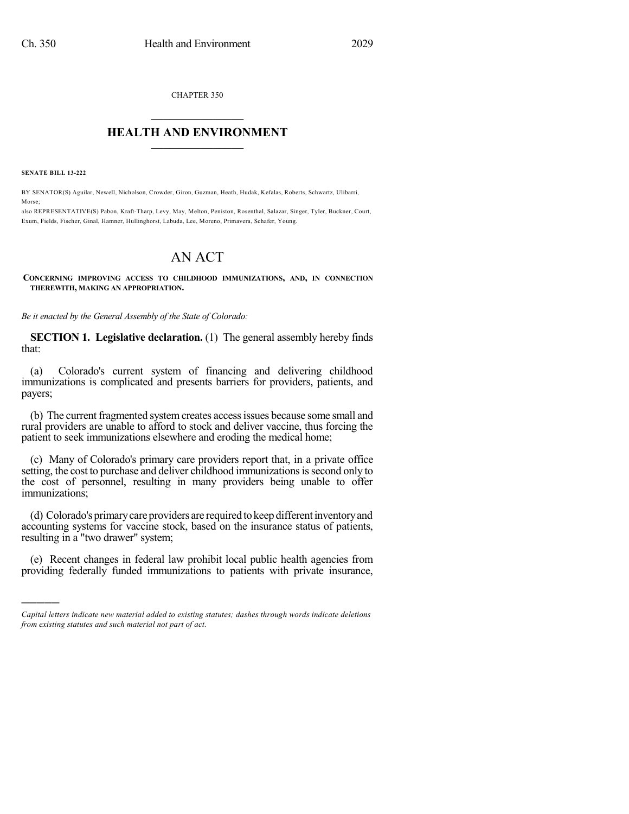CHAPTER 350

## $\overline{\phantom{a}}$  . The set of the set of the set of the set of the set of the set of the set of the set of the set of the set of the set of the set of the set of the set of the set of the set of the set of the set of the set o **HEALTH AND ENVIRONMENT**  $\_$

**SENATE BILL 13-222**

)))))

BY SENATOR(S) Aguilar, Newell, Nicholson, Crowder, Giron, Guzman, Heath, Hudak, Kefalas, Roberts, Schwartz, Ulibarri, Morse;

also REPRESENTATIVE(S) Pabon, Kraft-Tharp, Levy, May, Melton, Peniston, Rosenthal, Salazar, Singer, Tyler, Buckner, Court, Exum, Fields, Fischer, Ginal, Hamner, Hullinghorst, Labuda, Lee, Moreno, Primavera, Schafer, Young.

## AN ACT

## **CONCERNING IMPROVING ACCESS TO CHILDHOOD IMMUNIZATIONS, AND, IN CONNECTION THEREWITH, MAKING AN APPROPRIATION.**

*Be it enacted by the General Assembly of the State of Colorado:*

**SECTION 1. Legislative declaration.** (1) The general assembly hereby finds that:

(a) Colorado's current system of financing and delivering childhood immunizations is complicated and presents barriers for providers, patients, and payers;

(b) The current fragmented system creates access issues because some small and rural providers are unable to afford to stock and deliver vaccine, thus forcing the patient to seek immunizations elsewhere and eroding the medical home;

(c) Many of Colorado's primary care providers report that, in a private office setting, the cost to purchase and deliver childhood immunizations is second only to the cost of personnel, resulting in many providers being unable to offer immunizations;

(d) Colorado's primary care providers are required to keep different inventory and accounting systems for vaccine stock, based on the insurance status of patients, resulting in a "two drawer" system;

(e) Recent changes in federal law prohibit local public health agencies from providing federally funded immunizations to patients with private insurance,

*Capital letters indicate new material added to existing statutes; dashes through words indicate deletions from existing statutes and such material not part of act.*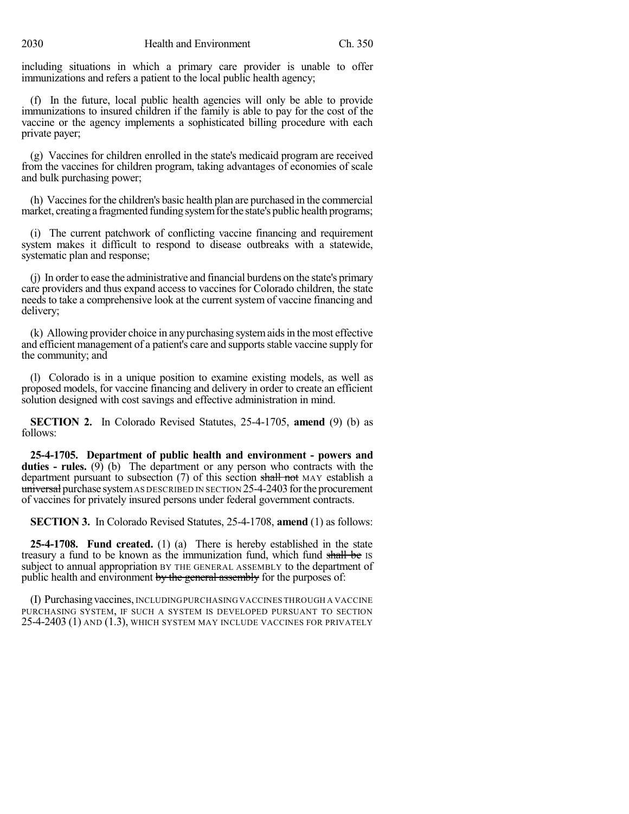including situations in which a primary care provider is unable to offer immunizations and refers a patient to the local public health agency;

(f) In the future, local public health agencies will only be able to provide immunizations to insured children if the family is able to pay for the cost of the vaccine or the agency implements a sophisticated billing procedure with each private payer;

(g) Vaccines for children enrolled in the state's medicaid program are received from the vaccines for children program, taking advantages of economies of scale and bulk purchasing power;

(h) Vaccinesforthe children's basic health plan are purchased in the commercial market, creating a fragmented funding system for the state's public health programs;

(i) The current patchwork of conflicting vaccine financing and requirement system makes it difficult to respond to disease outbreaks with a statewide, systematic plan and response;

(j) In order to ease the administrative and financial burdens on the state's primary care providers and thus expand access to vaccines for Colorado children, the state needs to take a comprehensive look at the current system of vaccine financing and delivery;

(k) Allowing provider choice in any purchasing systemaidsin the most effective and efficient management of a patient's care and supports stable vaccine supply for the community; and

(l) Colorado is in a unique position to examine existing models, as well as proposed models, for vaccine financing and delivery in order to create an efficient solution designed with cost savings and effective administration in mind.

**SECTION 2.** In Colorado Revised Statutes, 25-4-1705, **amend** (9) (b) as follows:

**25-4-1705. Department of public health and environment - powers and duties - rules.** (9) (b) The department or any person who contracts with the department pursuant to subsection  $(7)$  of this section shall not MAY establish a  $u$ niversal purchase system AS DESCRIBED IN SECTION 25-4-2403 for the procurement of vaccines for privately insured persons under federal government contracts.

**SECTION 3.** In Colorado Revised Statutes, 25-4-1708, **amend** (1) as follows:

**25-4-1708. Fund created.** (1) (a) There is hereby established in the state treasury a fund to be known as the immunization fund, which fund shall be IS subject to annual appropriation BY THE GENERAL ASSEMBLY to the department of public health and environment by the general assembly for the purposes of:

(I) Purchasing vaccines, INCLUDINGPURCHASING VACCINES THROUGH A VACCINE PURCHASING SYSTEM, IF SUCH A SYSTEM IS DEVELOPED PURSUANT TO SECTION 25-4-2403 (1) AND (1.3), WHICH SYSTEM MAY INCLUDE VACCINES FOR PRIVATELY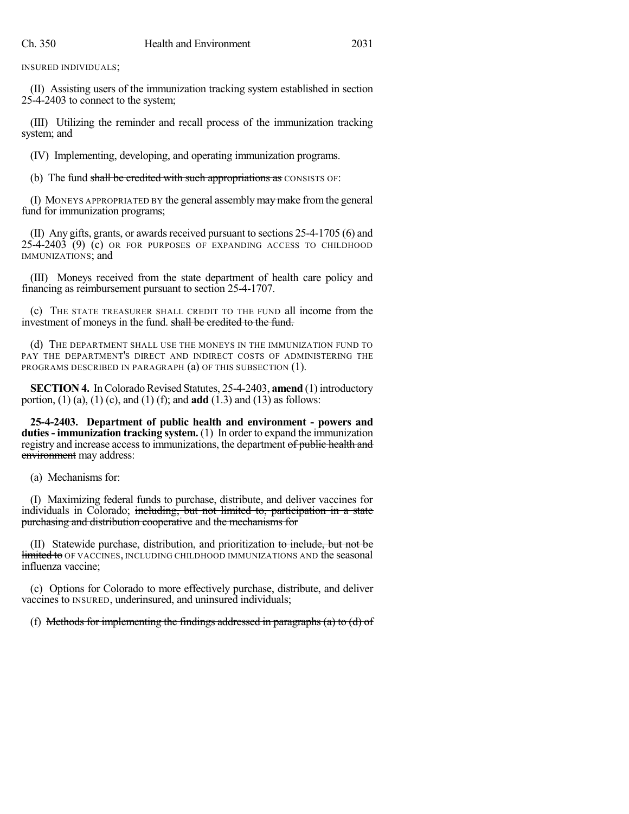INSURED INDIVIDUALS;

(II) Assisting users of the immunization tracking system established in section 25-4-2403 to connect to the system;

(III) Utilizing the reminder and recall process of the immunization tracking system; and

(IV) Implementing, developing, and operating immunization programs.

(b) The fund shall be credited with such appropriations as CONSISTS OF:

(I) MONEYS APPROPRIATED BY the general assembly  $\frac{m}{m}$  make from the general fund for immunization programs;

(II) Any gifts, grants, or awards received pursuant to sections  $25-4-1705$  (6) and 25-4-2403 (9) (c) OR FOR PURPOSES OF EXPANDING ACCESS TO CHILDHOOD IMMUNIZATIONS; and

(III) Moneys received from the state department of health care policy and financing as reimbursement pursuant to section 25-4-1707.

(c) THE STATE TREASURER SHALL CREDIT TO THE FUND all income from the investment of moneys in the fund. shall be credited to the fund.

(d) THE DEPARTMENT SHALL USE THE MONEYS IN THE IMMUNIZATION FUND TO PAY THE DEPARTMENT'S DIRECT AND INDIRECT COSTS OF ADMINISTERING THE PROGRAMS DESCRIBED IN PARAGRAPH (a) OF THIS SUBSECTION (1).

**SECTION 4.** In Colorado Revised Statutes, 25-4-2403, **amend** (1) introductory portion, (1) (a), (1) (c), and (1) (f); and **add** (1.3) and (13) as follows:

**25-4-2403. Department of public health and environment - powers and duties- immunization tracking system.** (1) In order to expand the immunization registry and increase access to immunizations, the department of public health and environment may address:

(a) Mechanisms for:

(I) Maximizing federal funds to purchase, distribute, and deliver vaccines for individuals in Colorado; including, but not limited to, participation in a state purchasing and distribution cooperative and the mechanisms for

(II) Statewide purchase, distribution, and prioritization to include, but not be limited to OF VACCINES, INCLUDING CHILDHOOD IMMUNIZATIONS AND the seasonal influenza vaccine;

(c) Options for Colorado to more effectively purchase, distribute, and deliver vaccines to INSURED, underinsured, and uninsured individuals;

(f) Methods for implementing the findings addressed in paragraphs (a) to (d) of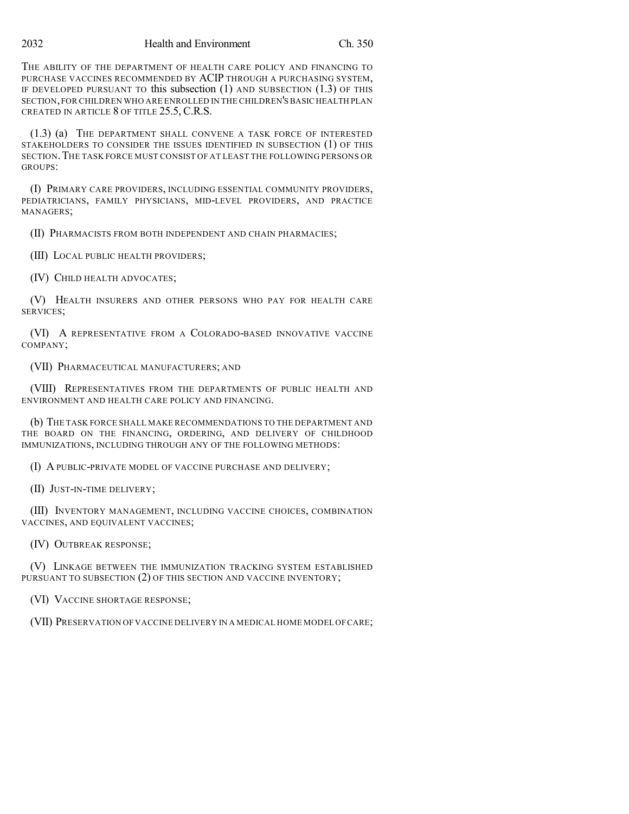THE ABILITY OF THE DEPARTMENT OF HEALTH CARE POLICY AND FINANCING TO PURCHASE VACCINES RECOMMENDED BY ACIP THROUGH A PURCHASING SYSTEM, IF DEVELOPED PURSUANT TO this subsection  $(1)$  and subsection  $(1.3)$  of this SECTION, FOR CHILDREN WHO ARE ENROLLED IN THE CHILDREN'S BASIC HEALTH PLAN CREATED IN ARTICLE 8 OF TITLE 25.5, C.R.S.

(1.3) (a) THE DEPARTMENT SHALL CONVENE A TASK FORCE OF INTERESTED STAKEHOLDERS TO CONSIDER THE ISSUES IDENTIFIED IN SUBSECTION (1) OF THIS SECTION.THE TASK FORCE MUST CONSIST OF AT LEAST THE FOLLOWING PERSONS OR GROUPS:

(I) PRIMARY CARE PROVIDERS, INCLUDING ESSENTIAL COMMUNITY PROVIDERS, PEDIATRICIANS, FAMILY PHYSICIANS, MID-LEVEL PROVIDERS, AND PRACTICE MANAGERS;

(II) PHARMACISTS FROM BOTH INDEPENDENT AND CHAIN PHARMACIES;

(III) LOCAL PUBLIC HEALTH PROVIDERS;

(IV) CHILD HEALTH ADVOCATES;

(V) HEALTH INSURERS AND OTHER PERSONS WHO PAY FOR HEALTH CARE SERVICES;

(VI) A REPRESENTATIVE FROM A COLORADO-BASED INNOVATIVE VACCINE COMPANY;

(VII) PHARMACEUTICAL MANUFACTURERS; AND

(VIII) REPRESENTATIVES FROM THE DEPARTMENTS OF PUBLIC HEALTH AND ENVIRONMENT AND HEALTH CARE POLICY AND FINANCING.

(b) THE TASK FORCE SHALL MAKE RECOMMENDATIONS TO THE DEPARTMENT AND THE BOARD ON THE FINANCING, ORDERING, AND DELIVERY OF CHILDHOOD IMMUNIZATIONS, INCLUDING THROUGH ANY OF THE FOLLOWING METHODS:

(I) A PUBLIC-PRIVATE MODEL OF VACCINE PURCHASE AND DELIVERY;

(II) JUST-IN-TIME DELIVERY;

(III) INVENTORY MANAGEMENT, INCLUDING VACCINE CHOICES, COMBINATION VACCINES, AND EQUIVALENT VACCINES;

(IV) OUTBREAK RESPONSE;

(V) LINKAGE BETWEEN THE IMMUNIZATION TRACKING SYSTEM ESTABLISHED PURSUANT TO SUBSECTION (2) OF THIS SECTION AND VACCINE INVENTORY;

(VI) VACCINE SHORTAGE RESPONSE;

(VII) PRESERVATION OF VACCINE DELIVERY IN A MEDICAL HOME MODEL OFCARE;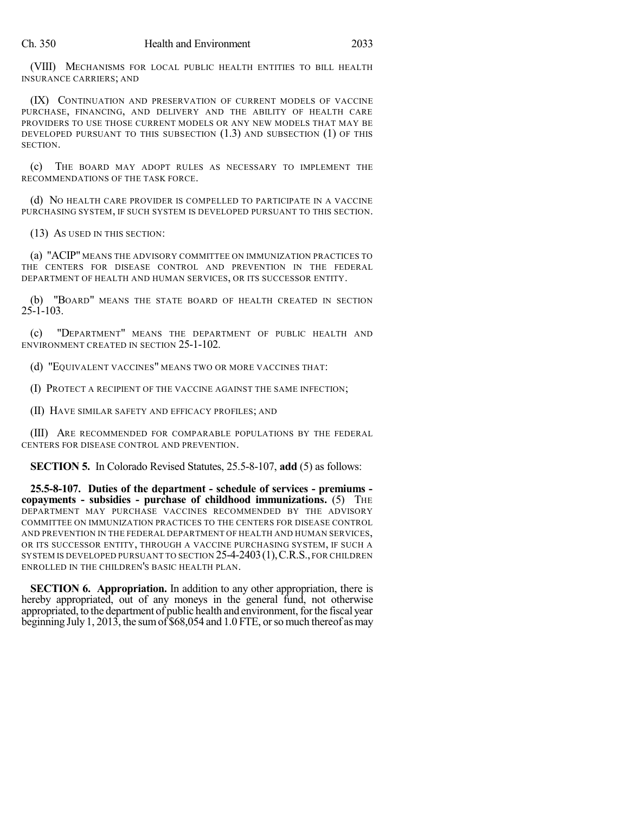(VIII) MECHANISMS FOR LOCAL PUBLIC HEALTH ENTITIES TO BILL HEALTH INSURANCE CARRIERS; AND

(IX) CONTINUATION AND PRESERVATION OF CURRENT MODELS OF VACCINE PURCHASE, FINANCING, AND DELIVERY AND THE ABILITY OF HEALTH CARE PROVIDERS TO USE THOSE CURRENT MODELS OR ANY NEW MODELS THAT MAY BE DEVELOPED PURSUANT TO THIS SUBSECTION (1.3) AND SUBSECTION (1) OF THIS SECTION.

(c) THE BOARD MAY ADOPT RULES AS NECESSARY TO IMPLEMENT THE RECOMMENDATIONS OF THE TASK FORCE.

(d) NO HEALTH CARE PROVIDER IS COMPELLED TO PARTICIPATE IN A VACCINE PURCHASING SYSTEM, IF SUCH SYSTEM IS DEVELOPED PURSUANT TO THIS SECTION.

(13) AS USED IN THIS SECTION:

(a) "ACIP" MEANS THE ADVISORY COMMITTEE ON IMMUNIZATION PRACTICES TO THE CENTERS FOR DISEASE CONTROL AND PREVENTION IN THE FEDERAL DEPARTMENT OF HEALTH AND HUMAN SERVICES, OR ITS SUCCESSOR ENTITY.

(b) "BOARD" MEANS THE STATE BOARD OF HEALTH CREATED IN SECTION  $25 - 1 - 103$ .

(c) "DEPARTMENT" MEANS THE DEPARTMENT OF PUBLIC HEALTH AND ENVIRONMENT CREATED IN SECTION 25-1-102.

(d) "EQUIVALENT VACCINES" MEANS TWO OR MORE VACCINES THAT:

(I) PROTECT A RECIPIENT OF THE VACCINE AGAINST THE SAME INFECTION;

(II) HAVE SIMILAR SAFETY AND EFFICACY PROFILES; AND

(III) ARE RECOMMENDED FOR COMPARABLE POPULATIONS BY THE FEDERAL CENTERS FOR DISEASE CONTROL AND PREVENTION.

**SECTION 5.** In Colorado Revised Statutes, 25.5-8-107, **add** (5) as follows:

**25.5-8-107. Duties of the department - schedule of services - premiums copayments - subsidies - purchase of childhood immunizations.** (5) THE DEPARTMENT MAY PURCHASE VACCINES RECOMMENDED BY THE ADVISORY COMMITTEE ON IMMUNIZATION PRACTICES TO THE CENTERS FOR DISEASE CONTROL AND PREVENTION IN THE FEDERAL DEPARTMENT OF HEALTH AND HUMAN SERVICES, OR ITS SUCCESSOR ENTITY, THROUGH A VACCINE PURCHASING SYSTEM, IF SUCH A SYSTEM IS DEVELOPED PURSUANT TO SECTION 25-4-2403(1),C.R.S., FOR CHILDREN ENROLLED IN THE CHILDREN'S BASIC HEALTH PLAN.

**SECTION 6. Appropriation.** In addition to any other appropriation, there is hereby appropriated, out of any moneys in the general fund, not otherwise appropriated, to the department of public health and environment, for the fiscal year beginning July 1, 2013, the sum of \$68,054 and 1.0 FTE, or so much thereof as may